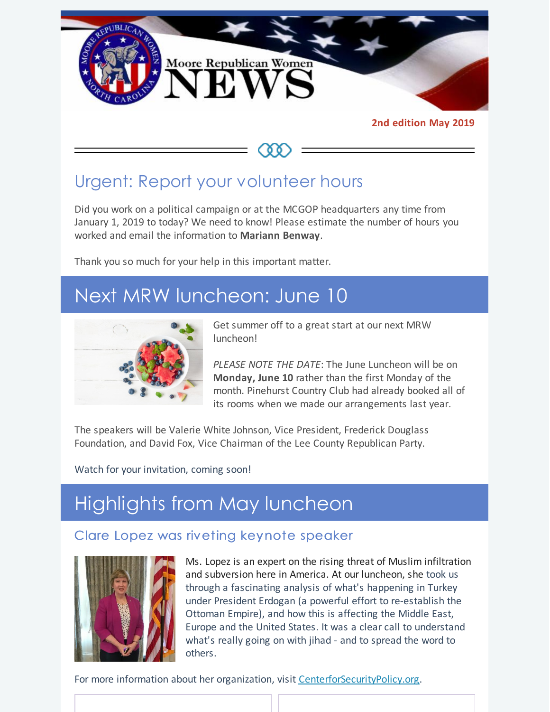

**2nd edition May 2019**

Urgent: Report your volunteer hours

Did you work on a political campaign or at the MCGOP headquarters any time from January 1, 2019 to today? We need to know! Please estimate the number of hours you worked and email the information to **[Mariann](mailto:mariannbenway@me.com) Benway**.

Thank you so much for your help in this important matter.

# Next MRW luncheon: June 10



Get summer off to a great start at our next MRW luncheon!

*PLEASE NOTE THE DATE*: The June Luncheon will be on **Monday, June 10** rather than the first Monday of the month. Pinehurst Country Club had already booked all of its rooms when we made our arrangements last year.

The speakers will be Valerie White Johnson, Vice President, Frederick Douglass Foundation, and David Fox, Vice Chairman of the Lee County Republican Party.

Watch for your invitation, coming soon!

# Highlights from May luncheon

### Clare Lopez was riveting keynote speaker



Ms. Lopez is an expert on the rising threat of Muslim infiltration and subversion here in America. At our luncheon, she took us through a fascinating analysis of what's happening in Turkey under President Erdogan (a powerful effort to re-establish the Ottoman Empire), and how this is affecting the Middle East, Europe and the United States. It was a clear call to understand what's really going on with jihad - and to spread the word to others.

For more information about her organization, visit [CenterforSecurityPolicy.org](http://www.centerforsecuritypolicy.org).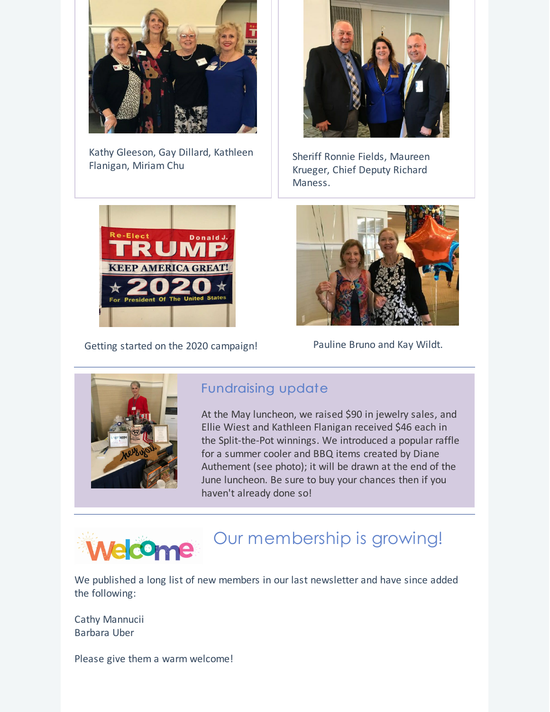

Kathy Gleeson, Gay Dillard, Kathleen Flanigan, Miriam Chu



Sheriff Ronnie Fields, Maureen Krueger, Chief Deputy Richard Maness.



Getting started on the 2020 campaign! Pauline Bruno and Kay Wildt.





### Fundraising update

At the May luncheon, we raised \$90 in jewelry sales, and Ellie Wiest and Kathleen Flanigan received \$46 each in the Split-the-Pot winnings. We introduced a popular raffle for a summer cooler and BBQ items created by Diane Authement (see photo); it will be drawn at the end of the June luncheon. Be sure to buy your chances then if you haven't already done so!



## Our membership is growing!

We published a long list of new members in our last newsletter and have since added the following:

Cathy Mannucii Barbara Uber

Please give them a warm welcome!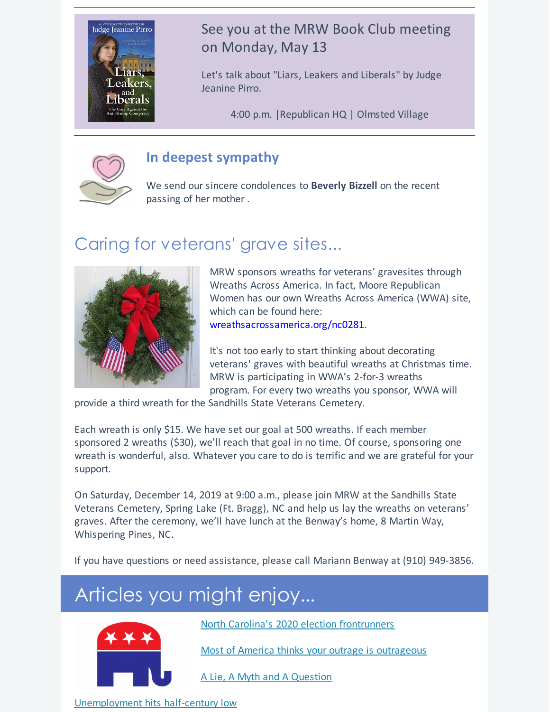

## See you at the MRW Book Club meeting on Monday, May 13

Let's talk about "Liars, Leakers and Liberals" by Judge Jeanine Pirro.

4:00 p.m. |Republican HQ | Olmsted Village



## **In deepest sympathy**

We send our sincere condolences to **Beverly Bizzell** on the recent passing of her mother .

# Caring for veterans' grave sites...



MRW sponsors wreaths for veterans' gravesites through Wreaths Across America. In fact, Moore Republican Women has our own Wreaths Across America (WWA) site, which can be found here: wreathsacrossamerica.org/nc0281.

It's not too early to start thinking about decorating veterans' graves with beautiful wreaths at Christmas time. MRW is participating in WWA's 2-for-3 wreaths program. For every two wreaths you sponsor, WWA will

provide a third wreath for the Sandhills State Veterans Cemetery.

Each wreath is only \$15. We have set our goal at 500 wreaths. If each member sponsored 2 wreaths (\$30), we'll reach that goal in no time. Of course, sponsoring one wreath is wonderful, also. Whatever you care to do is terrific and we are grateful for your support.

On Saturday, December 14, 2019 at 9:00 a.m., please join MRW at the Sandhills State Veterans Cemetery, Spring Lake (Ft. Bragg), NC and help us lay the wreaths on veterans' graves. After the ceremony, we'll have lunch at the Benway's home, 8 Martin Way, Whispering Pines, NC.

If you have questions or need assistance, please call Mariann Benway at (910) 949-3856.

# Articles you might enjoy...



North Carolina's 2020 election [frontrunners](https://longleafpolitics.com/nc-2020-election-frontrunners/)

Most of America thinks your outrage is [outrageous](https://hotair.com/archives/2019/04/28/america-thinks-outrage-outrageous/)

A Lie, A Myth and A [Question](https://townhall.com/columnists/johnstossel/2019/05/01/a-lie-a-myth-and-a-question-n2545624)

[Unemployment](https://patriotpost.us/articles/62781?mailing_id=4251&utm_medium=email&utm_source=pp.email.4251&utm_campaign=snapshot&utm_content=body) hits half-century low